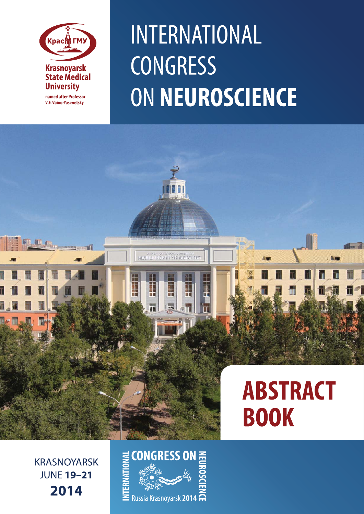

**V.F. Voino-Yasenetsky** 

虹

# INTERNATIONAL **CONGRESS** ON NEUROSCIENCE

### **ABSTRACT BOOK**

**KRASNOYARSK JUNE 19-21** 2014

## CONGRESS ON 三  $\geq$  Russia Krasnovarsk 2014  $\mathbb R$

NEQUITACIÓN NEUSCRITE

L

三里

П

i.

li<br>Se

H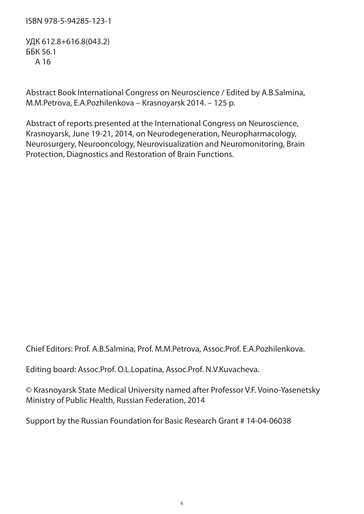#### ISBN 978-5-94285-123-1

УДК 612.8+616.8(043.2) ББК 56.1 А 16

Abstract Book International Congress on Neuroscience / Edited by A.B.Salmina, M.M.Petrova, E.A.Pozhilenkova – Krasnoyarsk 2014. – 125 p.

Abstract of reports presented at the International Congress on Neuroscience, Krasnoyarsk, June 19-21, 2014, on Neurodegeneration, Neuropharmacology, Neurosurgery, Neurooncology, Neurovisualization and Neuromonitoring, Brain Protection, Diagnostics and Restoration of Brain Functions.

Chief Editors: Prof. A.B.Salmina, Prof. M.M.Petrova, Assoc.Prof. E.A.Pozhilenkova.

Editing board: Assoc.Prof. O.L.Lopatina, Assoc.Prof. N.V.Kuvacheva.

© Krasnoyarsk State Medical University named after Professor V.F. Voino-Yasenetsky Ministry of Public Health, Russian Federation, 2014

Support by the Russian Foundation for Basic Research Grant # 14-04-06038